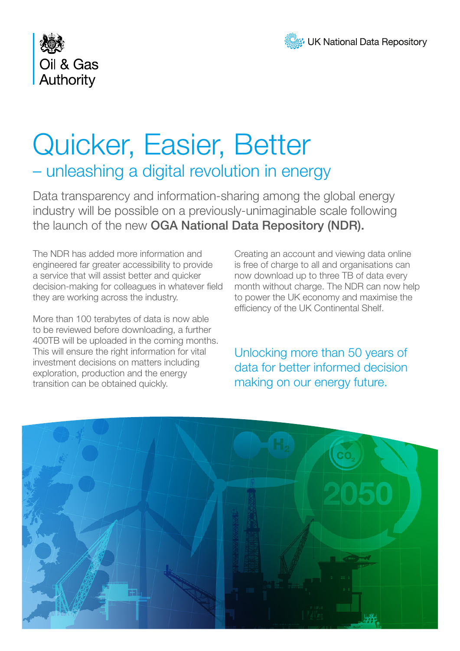



## Quicker, Easier, Better – unleashing a digital revolution in energy

Data transparency and information-sharing among the global energy industry will be possible on a previously-unimaginable scale following the launch of the new OGA National Data Repository (NDR).

The NDR has added more information and engineered far greater accessibility to provide a service that will assist better and quicker decision-making for colleagues in whatever field they are working across the industry.

More than 100 terabytes of data is now able to be reviewed before downloading, a further 400TB will be uploaded in the coming months. This will ensure the right information for vital investment decisions on matters including exploration, production and the energy transition can be obtained quickly.

Creating an account and viewing data online is free of charge to all and organisations can now download up to three TB of data every month without charge. The NDR can now help to power the UK economy and maximise the efficiency of the UK Continental Shelf.

Unlocking more than 50 years of data for better informed decision making on our energy future.